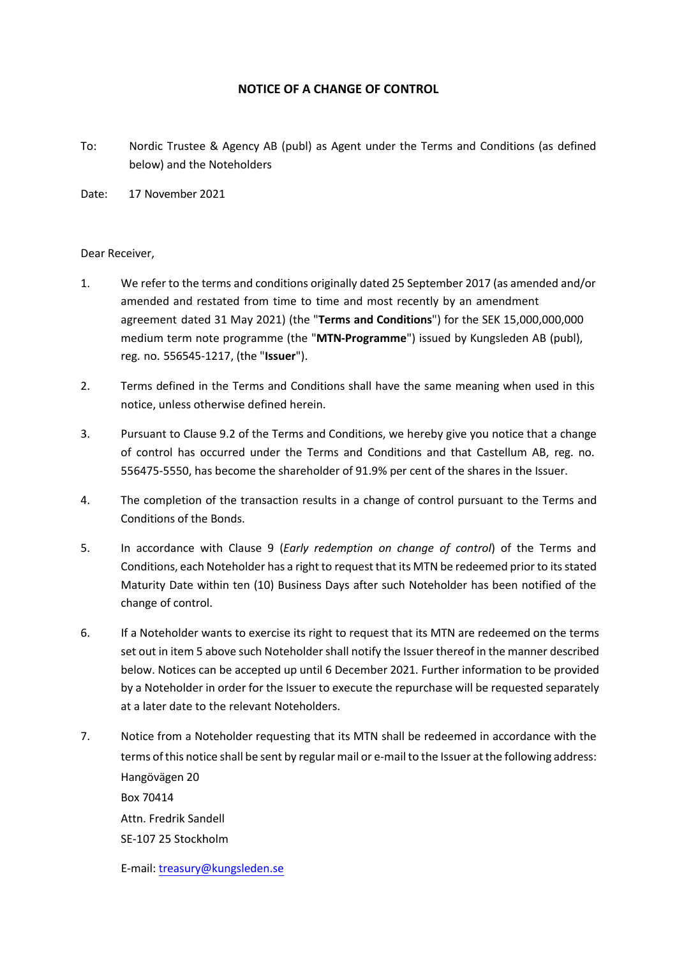## **NOTICE OF A CHANGE OF CONTROL**

- To: Nordic Trustee & Agency AB (publ) as Agent under the Terms and Conditions (as defined below) and the Noteholders
- Date: 17 November 2021

## Dear Receiver,

- 1. We refer to the terms and conditions originally dated 25 September 2017 (as amended and/or amended and restated from time to time and most recently by an amendment agreement dated 31 May 2021) (the "**Terms and Conditions**") for the SEK 15,000,000,000 medium term note programme (the "**MTN-Programme**") issued by Kungsleden AB (publ), reg. no. 556545-1217, (the "**Issuer**").
- 2. Terms defined in the Terms and Conditions shall have the same meaning when used in this notice, unless otherwise defined herein.
- 3. Pursuant to Clause 9.2 of the Terms and Conditions, we hereby give you notice that a change of control has occurred under the Terms and Conditions and that Castellum AB, reg. no. 556475-5550, has become the shareholder of 91.9% per cent of the shares in the Issuer.
- 4. The completion of the transaction results in a change of control pursuant to the Terms and Conditions of the Bonds.
- <span id="page-0-0"></span>5. In accordance with Clause 9 (*Early redemption on change of control*) of the Terms and Conditions, each Noteholder has a right to request that its MTN be redeemed prior to its stated Maturity Date within ten (10) Business Days after such Noteholder has been notified of the change of control.
- 6. If a Noteholder wants to exercise its right to request that its MTN are redeemed on the terms set out in item [5](#page-0-0) above such Noteholder shall notify the Issuer thereof in the manner described below. Notices can be accepted up until 6 December 2021. Further information to be provided by a Noteholder in order for the Issuer to execute the repurchase will be requested separately at a later date to the relevant Noteholders.
- 7. Notice from a Noteholder requesting that its MTN shall be redeemed in accordance with the terms of this notice shall be sent by regular mail or e-mail to the Issuer at the following address: Hangövägen 20 Box 70414 Attn. Fredrik Sandell SE-107 25 Stockholm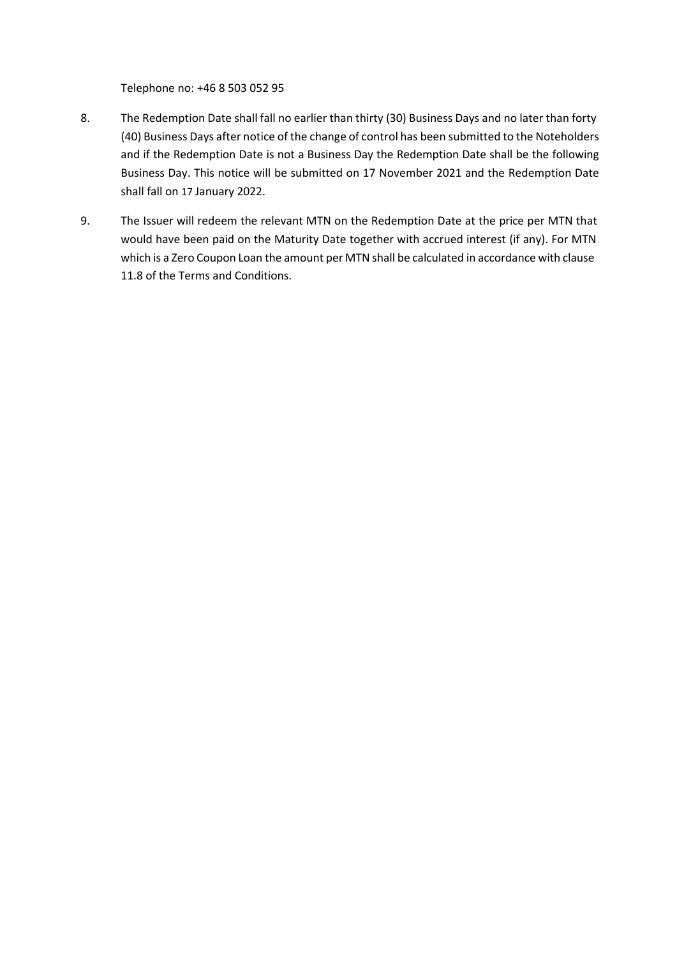Telephone no: +46 8 503 052 95

- 8. The Redemption Date shall fall no earlier than thirty (30) Business Days and no later than forty (40) Business Days after notice of the change of control has been submitted to the Noteholders and if the Redemption Date is not a Business Day the Redemption Date shall be the following Business Day. This notice will be submitted on 17 November 2021 and the Redemption Date shall fall on 17 January 2022.
- 9. The Issuer will redeem the relevant MTN on the Redemption Date at the price per MTN that would have been paid on the Maturity Date together with accrued interest (if any). For MTN which is a Zero Coupon Loan the amount per MTN shall be calculated in accordance with clause 11.8 of the Terms and Conditions.